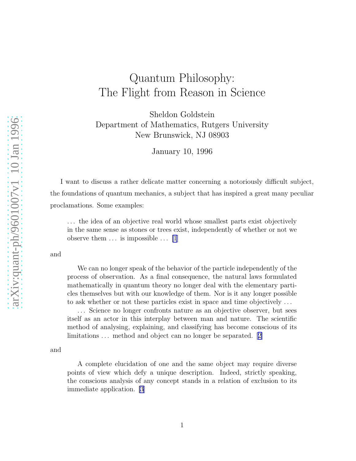## Quantum Philosophy: The Flight from Reason in Science

Sheldon Goldstein Department of Mathematics, Rutgers University New Brunswick, NJ 08903

January 10, 1996

I want to discuss a rather delicate matter concerning a notoriously difficult subject, the foundations of quantum mechanics, a subject that has inspired a great many peculiar proclamations. Some examples:

. . . the idea of an objective real world whose smallest parts exist objectively in the same sense as stones or trees exist, independently of whether or not we observe them  $\dots$  is impossible  $\dots$  [\[1](#page-6-0)]

and

We can no longer speak of the behavior of the particle independently of the process of observation. As a final consequence, the natural laws formulated mathematically in quantum theory no longer deal with the elementary particles themselves but with our knowledge of them. Nor is it any longer possible to ask whether or not these particles exist in space and time objectively . . .

. . . Science no longer confronts nature as an objective observer, but sees itself as an actor in this interplay between man and nature. The scientific method of analysing, explaining, and classifying has become conscious of its limitations... method and object can no longer be separated. [[2\]](#page-6-0)

and

A complete elucidation of one and the same object may require diverse points of view which defy a unique description. Indeed, strictly speaking, the conscious analysis of any concept stands in a relation of exclusion to its immediate application. [\[3](#page-6-0)]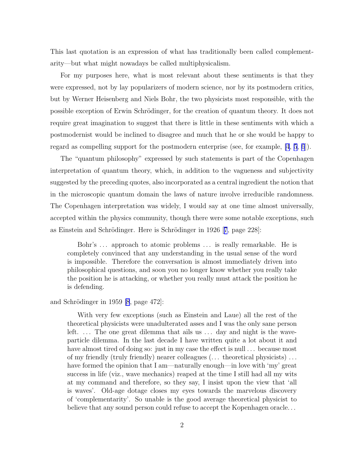This last quotation is an expression of what has traditionally been called complementarity—but what might nowadays be called multiphysicalism.

For my purposes here, what is most relevant about these sentiments is that they were expressed, not by lay popularizers of modern science, nor by its postmodern critics, but by Werner Heisenberg and Niels Bohr, the two physicists most responsible, with the possible exception of Erwin Schrödinger, for the creation of quantum theory. It does not require great imagination to suggest that there is little in these sentiments with which a postmodernist would be inclined to disagree and much that he or she would be happy to regard as compelling support for the postmodern enterprise (see, for example, [\[4](#page-6-0), [5](#page-6-0), [6](#page-6-0)]).

The "quantum philosophy" expressed by such statements is part of the Copenhagen interpretation of quantum theory, which, in addition to the vagueness and subjectivity suggested by the preceding quotes, also incorporated as a central ingredient the notion that in the microscopic quantum domain the laws of nature involve irreducible randomness. The Copenhagen interpretation was widely, I would say at one time almost universally, accepted within the physics community, though there were some notable exceptions, such asEinstein and Schrödinger. Here is Schrödinger in 1926 [[7](#page-6-0), page 228]:

Bohr's . . . approach to atomic problems . . . is really remarkable. He is completely convinced that any understanding in the usual sense of the word is impossible. Therefore the conversation is almost immediately driven into philosophical questions, and soon you no longer know whether you really take the position he is attacking, or whether you really must attack the position he is defending.

## and Schrödinger in 1959 [\[8](#page-6-0), page 472]:

With very few exceptions (such as Einstein and Laue) all the rest of the theoretical physicists were unadulterated asses and I was the only sane person left. ... The one great dilemma that ails us ... day and night is the waveparticle dilemma. In the last decade I have written quite a lot about it and have almost tired of doing so: just in my case the effect is null ... because most of my friendly (truly friendly) nearer colleagues (. . . theoretical physicists) . . . have formed the opinion that I am—naturally enough—in love with 'my' great success in life (viz., wave mechanics) reaped at the time I still had all my wits at my command and therefore, so they say, I insist upon the view that 'all is waves'. Old-age dotage closes my eyes towards the marvelous discovery of 'complementarity'. So unable is the good average theoretical physicist to believe that any sound person could refuse to accept the Kopenhagen oracle. . .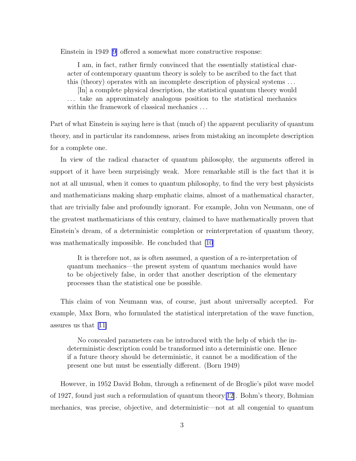Einstein in 1949[[9\]](#page-6-0) offered a somewhat more constructive response:

I am, in fact, rather firmly convinced that the essentially statistical character of contemporary quantum theory is solely to be ascribed to the fact that this (theory) operates with an incomplete description of physical systems . . .

[In] a complete physical description, the statistical quantum theory would . . . take an approximately analogous position to the statistical mechanics within the framework of classical mechanics ...

Part of what Einstein is saying here is that (much of) the apparent peculiarity of quantum theory, and in particular its randomness, arises from mistaking an incomplete description for a complete one.

In view of the radical character of quantum philosophy, the arguments offered in support of it have been surprisingly weak. More remarkable still is the fact that it is not at all unusual, when it comes to quantum philosophy, to find the very best physicists and mathematicians making sharp emphatic claims, almost of a mathematical character, that are trivially false and profoundly ignorant. For example, John von Neumann, one of the greatest mathematicians of this century, claimed to have mathematically proven that Einstein's dream, of a deterministic completion or reinterpretation of quantum theory, was mathematically impossible. He concluded that [\[10](#page-7-0)]

It is therefore not, as is often assumed, a question of a re-interpretation of quantum mechanics—the present system of quantum mechanics would have to be objectively false, in order that another description of the elementary processes than the statistical one be possible.

This claim of von Neumann was, of course, just about universally accepted. For example, Max Born, who formulated the statistical interpretation of the wave function, assures us that[[11\]](#page-7-0)

No concealed parameters can be introduced with the help of which the indeterministic description could be transformed into a deterministic one. Hence if a future theory should be deterministic, it cannot be a modification of the present one but must be essentially different. (Born 1949)

However, in 1952 David Bohm, through a refinement of de Broglie's pilot wave model of 1927, found just such a reformulation of quantum theory[\[12](#page-7-0)]. Bohm's theory, Bohmian mechanics, was precise, objective, and deterministic—not at all congenial to quantum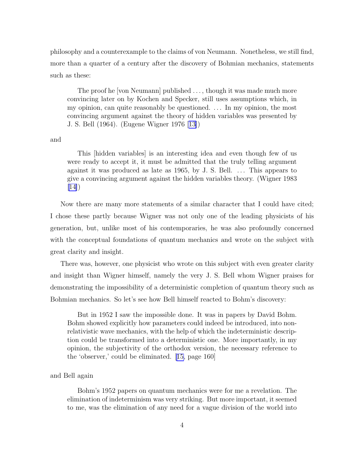philosophy and a counterexample to the claims of von Neumann. Nonetheless, we still find, more than a quarter of a century after the discovery of Bohmian mechanics, statements such as these:

The proof he [von Neumann] published . . . , though it was made much more convincing later on by Kochen and Specker, still uses assumptions which, in my opinion, can quite reasonably be questioned. . . . In my opinion, the most convincing argument against the theory of hidden variables was presented by J. S. Bell (1964). (Eugene Wigner 1976[[13\]](#page-7-0))

and

This [hidden variables] is an interesting idea and even though few of us were ready to accept it, it must be admitted that the truly telling argument against it was produced as late as  $1965$ , by J. S. Bell.  $\ldots$  This appears to give a convincing argument against the hidden variables theory. (Wigner 1983 [[14\]](#page-7-0))

Now there are many more statements of a similar character that I could have cited; I chose these partly because Wigner was not only one of the leading physicists of his generation, but, unlike most of his contemporaries, he was also profoundly concerned with the conceptual foundations of quantum mechanics and wrote on the subject with great clarity and insight.

There was, however, one physicist who wrote on this subject with even greater clarity and insight than Wigner himself, namely the very J. S. Bell whom Wigner praises for demonstrating the impossibility of a deterministic completion of quantum theory such as Bohmian mechanics. So let's see how Bell himself reacted to Bohm's discovery:

But in 1952 I saw the impossible done. It was in papers by David Bohm. Bohm showed explicitly how parameters could indeed be introduced, into nonrelativistic wave mechanics, with the help of which the indeterministic description could be transformed into a deterministic one. More importantly, in my opinion, the subjectivity of the orthodox version, the necessary reference to the 'observer,' could be eliminated.[[15,](#page-7-0) page 160]

## and Bell again

Bohm's 1952 papers on quantum mechanics were for me a revelation. The elimination of indeterminism was very striking. But more important, it seemed to me, was the elimination of any need for a vague division of the world into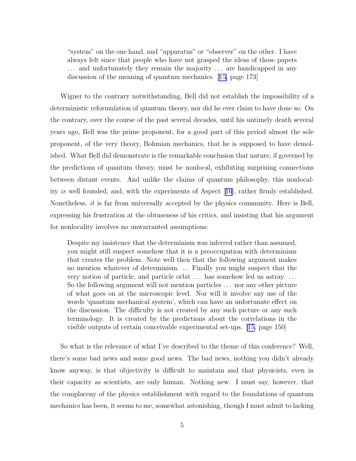"system" on the one hand, and "apparatus" or "observer" on the other. I have always felt since that people who have not grasped the ideas of those papers ... and unfortunately they remain the majority ... are handicapped in any discussion of the meaning of quantum mechanics. [\[15,](#page-7-0) page 173]

Wigner to the contrary notwithstanding, Bell did not establish the impossibility of a deterministic reformulation of quantum theory, nor did he ever claim to have done so. On the contrary, over the course of the past several decades, until his untimely death several years ago, Bell was the prime proponent, for a good part of this period almost the sole proponent, of the very theory, Bohmian mechanics, that he is supposed to have demolished. What Bell did demonstrate is the remarkable conclusion that nature, if governed by the predictions of quantum theory, must be nonlocal, exhibiting surprising connections between distant events. And unlike the claims of quantum philosophy, this nonlocality *is* well founded, and, with the experiments of Aspect[[16](#page-7-0)], rather firmly established. Nonetheless, *it* is far from universally accepted by the physics community. Here is Bell, expressing his frustration at the obtuseness of his critics, and insisting that his argument for nonlocality involves no unwarranted assumptions:

Despite my insistence that the determinism was inferred rather than assumed, you might still suspect somehow that it is a preoccupation with determinism that creates the problem. Note well then that the following argument makes no mention whatever of determinism. ... Finally you might suspect that the very notion of particle, and particle orbit . . . has somehow led us astray. . . . So the following argument will not mention particles . . . nor any other picture of what goes on at the microscopic level. Nor will it involve any use of the words 'quantum mechanical system', which can have an unfortunate effect on the discussion. The difficulty is not created by any such picture or any such terminology. It is created by the predictions about the correlations in the visible outputs of certain conceivable experimental set-ups. [\[15,](#page-7-0) page 150]

So what is the relevance of what I've described to the theme of this conference? Well, there's some bad news and some good news. The bad news, nothing you didn't already know anyway, is that objectivity is difficult to maintain and that physicists, even in their capacity as scientists, are only human. Nothing new. I must say, however, that the complaceny of the physics establishment with regard to the foundations of quantum mechanics has been, it seems to me, somewhat astonishing, though I must admit to lacking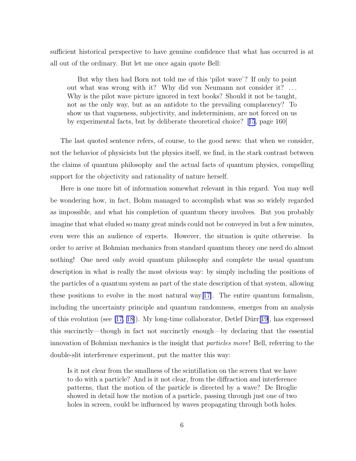sufficient historical perspective to have genuine confidence that what has occurred is at all out of the ordinary. But let me once again quote Bell:

But why then had Born not told me of this 'pilot wave'? If only to point out what was wrong with it? Why did von Neumann not consider it? . . . Why is the pilot wave picture ignored in text books? Should it not be taught, not as the only way, but as an antidote to the prevailing complacency? To show us that vagueness, subjectivity, and indeterminism, are not forced on us by experimental facts, but by deliberate theoretical choice?[[15](#page-7-0), page 160]

The last quoted sentence refers, of course, to the good news: that when we consider, not the behavior of physicists but the physics itself, we find, in the stark contrast between the claims of quantum philosophy and the actual facts of quantum physics, compelling support for the objectivity and rationality of nature herself.

Here is one more bit of information somewhat relevant in this regard. You may well be wondering how, in fact, Bohm managed to accomplish what was so widely regarded as impossible, and what his completion of quantum theory involves. But you probably imagine that what eluded so many great minds could not be conveyed in but a few minutes, even were this an audience of experts. However, the situation is quite otherwise. In order to arrive at Bohmian mechanics from standard quantum theory one need do almost nothing! One need only avoid quantum philosophy and complete the usual quantum description in what is really the most obvious way: by simply including the positions of the particles of a quantum system as part of the state description of that system, allowing these positions to evolve in the most natural way  $[17]$  $[17]$ . The entire quantum formalism, including the uncertainty principle and quantum randomness, emerges from an analysis of this evolution (see [\[17, 18\]](#page-7-0)). My long-time collaborator, Detlef Dürr[[19\]](#page-7-0), has expressed this succinctly—though in fact not succinctly enough—by declaring that the essential innovation of Bohmian mechanics is the insight that *particles move*! Bell, referring to the double-slit interference experiment, put the matter this way:

Is it not clear from the smallness of the scintillation on the screen that we have to do with a particle? And is it not clear, from the diffraction and interference patterns, that the motion of the particle is directed by a wave? De Broglie showed in detail how the motion of a particle, passing through just one of two holes in screen, could be influenced by waves propagating through both holes.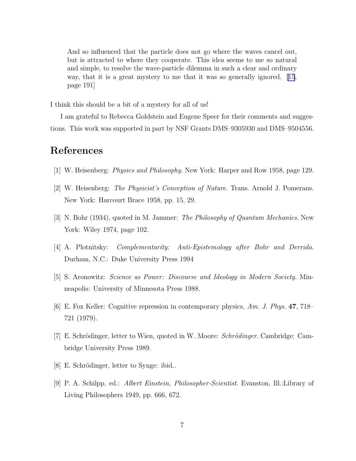<span id="page-6-0"></span>And so influenced that the particle does not go where the waves cancel out, but is attracted to where they cooperate. This idea seems to me so natural and simple, to resolve the wave-particle dilemma in such a clear and ordinary way, that it is a great mystery to me that it was so generally ignored.[[15](#page-7-0), page 191]

I think this should be a bit of a mystery for all of us!

I am grateful to Rebecca Goldstein and Eugene Speer for their comments and suggestions. This work was supported in part by NSF Grants DMS–9305930 and DMS–9504556.

## References

- [1] W. Heisenberg: *Physics and Philosophy.* New York: Harper and Row 1958, page 129.
- [2] W. Heisenberg: *The Physicist's Conception of Nature.* Trans. Arnold J. Pomerans. New York: Harcourt Brace 1958, pp. 15, 29.
- [3] N. Bohr (1934), quoted in M. Jammer: *The Philosophy of Quantum Mechanics.* New York: Wiley 1974, page 102.
- [4] A. Plotnitsky: *Complementarity: Anti-Epistemology after Bohr and Derrida.* Durham, N.C.: Duke University Press 1994
- [5] S. Aronowitz: *Science as Power: Discourse and Ideology in Modern Society.* Minneapolis: University of Minnesota Press 1988.
- [6] E. Fox Keller: Cognitive repression in contemporary physics, *Am. J. Phys.* 47, 718– 721 (1979).
- [7] E. Schrödinger, letter to Wien, quoted in W. Moore: *Schrödinger*. Cambridge: Cambridge University Press 1989.
- [8] E. Schrödinger, letter to Synge: ibid...
- [9] P. A. Schilpp, ed.: *Albert Einstein, Philosopher-Scientist.* Evanston, Ill.:Library of Living Philosophers 1949, pp. 666, 672.